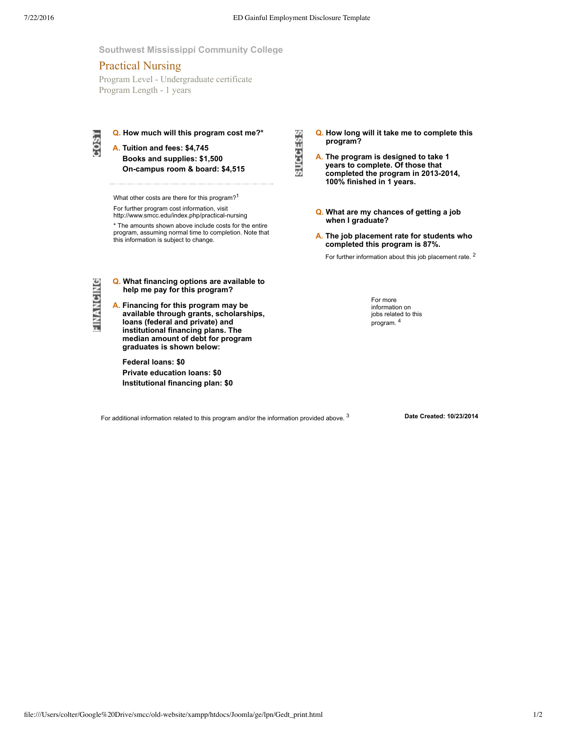**SUCCESS** 

## **Southwest Mississippi Community College**

# Practical Nursing

Program Level - Undergraduate certificate Program Length - 1 years



**Q. How much will this program cost me?\***

**A. Tuition and fees: \$4,745 Books and supplies: \$1,500 Oncampus room & board: \$4,515**

What other costs are there for this program?<sup>1</sup>

For further program cost information, visit http://www.smcc.edu/index.php/practical-nursing

\* The amounts shown above include costs for the entire

program, assuming normal time to completion. Note that this information is subject to change.

FINANCING

- **Q. What financing options are available to help me pay for this program?**
- **A. Financing for this program may be available through grants, scholarships, loans (federal and private) and institutional financing plans. The median amount of debt for program graduates is shown below:**

**Federal loans: \$0 Private education loans: \$0 Institutional financing plan: \$0** **Q. How long will it take me to complete this program?**

- **A. The program is designed to take 1 years to complete. Of those that completed the program in 20132014, 100% finished in 1 years.**
- **Q. What are my chances of getting a job when I graduate?**
- **A. The job placement rate for students who completed this program is 87%.**
	- For further information about this job placement rate. <sup>2</sup>

For more information on jobs related to this program. 4

For additional information related to this program and/or the information provided above.<sup>3</sup>

3 **Date Created: 10/23/2014**